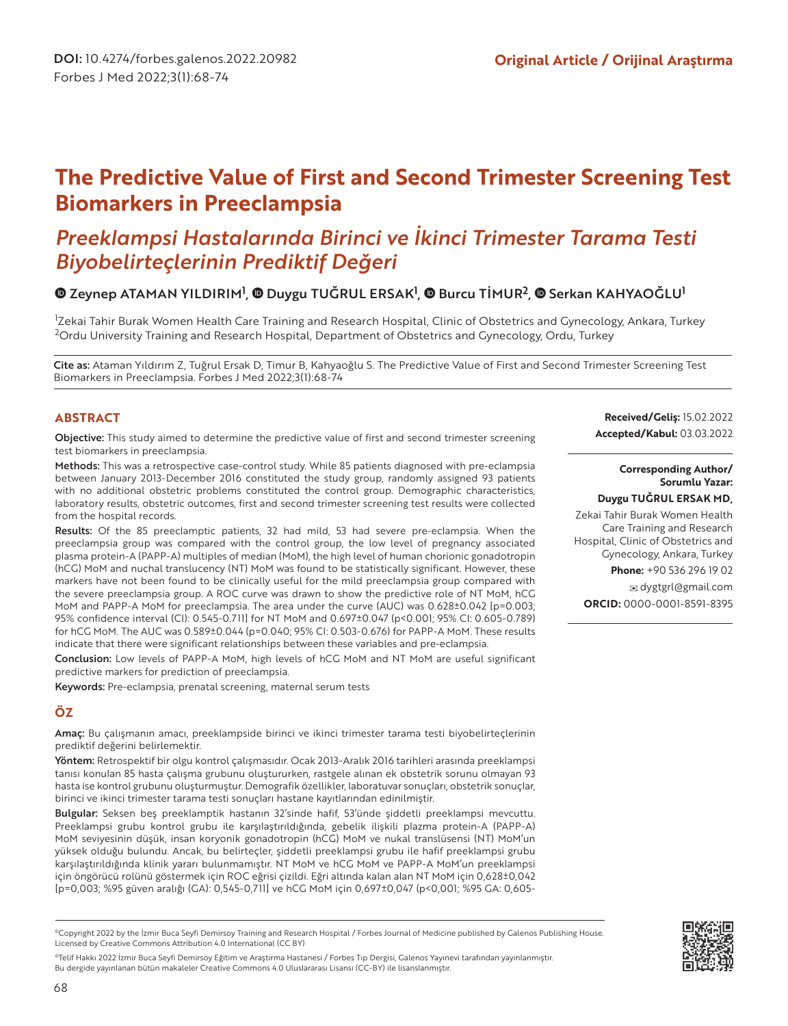# **The Predictive Value of First and Second Trimester Screening Test Biomarkers in Preeclampsia**

# *Preeklampsi Hastalarında Birinci ve İkinci Trimester Tarama Testi Biyobelirteçlerinin Prediktif Değeri*

## ZeynepATAMAN YILDIRIM<sup>1</sup>, © Duygu TUĞRUL ERSAK<sup>1</sup>, © Burcu TİMUR<sup>2</sup>, © Serkan KAHYAOĞLU<sup>1</sup>

1 Zekai Tahir Burak Women Health Care Training and Research Hospital, Clinic of Obstetrics and Gynecology, Ankara, Turkey <sup>2</sup>Ordu University Training and Research Hospital, Department of Obstetrics and Gynecology, Ordu, Turkey

Cite as: Ataman Yıldırım Z, Tuğrul Ersak D, Timur B, Kahyaoğlu S. The Predictive Value of First and Second Trimester Screening Test Biomarkers in Preeclampsia. Forbes J Med 2022;3(1):68-74

#### **ABSTRACT**

Objective: This study aimed to determine the predictive value of first and second trimester screening test biomarkers in preeclampsia.

Methods: This was a retrospective case-control study. While 85 patients diagnosed with pre-eclampsia between January 2013-December 2016 constituted the study group, randomly assigned 93 patients with no additional obstetric problems constituted the control group. Demographic characteristics, laboratory results, obstetric outcomes, first and second trimester screening test results were collected from the hospital records.

Results: Of the 85 preeclamptic patients, 32 had mild, 53 had severe pre-eclampsia. When the preeclampsia group was compared with the control group, the low level of pregnancy associated plasma protein-A (PAPP-A) multiples of median (MoM), the high level of human chorionic gonadotropin (hCG) MoM and nuchal translucency (NT) MoM was found to be statistically significant. However, these markers have not been found to be clinically useful for the mild preeclampsia group compared with the severe preeclampsia group. A ROC curve was drawn to show the predictive role of NT MoM, hCG MoM and PAPP-A MoM for preeclampsia. The area under the curve (AUC) was 0.628±0.042 [p=0.003; 95% confidence interval (CI): 0.545-0.711] for NT MoM and 0.697±0.047 (p<0.001; 95% CI: 0.605-0.789) for hCG MoM. The AUC was 0.589±0.044 (p=0.040; 95% CI: 0.503-0.676) for PAPP-A MoM. These results indicate that there were significant relationships between these variables and pre-eclampsia.

Conclusion: Low levels of PAPP-A MoM, high levels of hCG MoM and NT MoM are useful significant predictive markers for prediction of preeclampsia.

Keywords: Pre-eclampsia, prenatal screening, maternal serum tests

## **ÖZ**

Amaç: Bu çalışmanın amacı, preeklampside birinci ve ikinci trimester tarama testi biyobelirteçlerinin prediktif değerini belirlemektir.

Yöntem: Retrospektif bir olgu kontrol çalışmasıdır. Ocak 2013-Aralık 2016 tarihleri arasında preeklampsi tanısı konulan 85 hasta çalışma grubunu oluştururken, rastgele alınan ek obstetrik sorunu olmayan 93 hasta ise kontrol grubunu oluşturmuştur. Demografik özellikler, laboratuvar sonuçları, obstetrik sonuçlar, birinci ve ikinci trimester tarama testi sonuçları hastane kayıtlarından edinilmiştir.

Bulgular: Seksen beş preeklamptik hastanın 32'sinde hafif, 53'ünde şiddetli preeklampsi mevcuttu. Preeklampsi grubu kontrol grubu ile karşılaştırıldığında, gebelik ilişkili plazma protein-A (PAPP-A) MoM seviyesinin düşük, insan koryonik gonadotropin (hCG) MoM ve nukal translüsensi (NT) MoM'un yüksek olduğu bulundu. Ancak, bu belirteçler, şiddetli preeklampsi grubu ile hafif preeklampsi grubu karşılaştırıldığında klinik yararı bulunmamıştır. NT MoM ve hCG MoM ve PAPP-A MoM'un preeklampsi için öngörücü rolünü göstermek için ROC eğrisi çizildi. Eğri altında kalan alan NT MoM için 0,628±0,042 [p=0,003; %95 güven aralığı (GA): 0,545-0,711] ve hCG MoM için 0,697±0,047 (p<0,001; %95 GA: 0,605-

©Telif Hakkı 2022 İzmir Buca Seyfi Demirsoy Eğitim ve Araştırma Hastanesi / Forbes Tıp Dergisi, Galenos Yayınevi tarafından yayınlanmıştır. Bu dergide yayınlanan bütün makaleler Creative Commons 4.0 Uluslararası Lisansı (CC-BY) ile lisanslanmıştır.

**Received/Geliş:** 15.02.2022 **Accepted/Kabul:** 03.03.2022

#### **Corresponding Author/ Sorumlu Yazar:**

#### **Duygu TUĞRUL ERSAK MD,**

Zekai Tahir Burak Women Health Care Training and Research Hospital, Clinic of Obstetrics and Gynecology, Ankara, Turkey **Phone:** +90 536 296 19 02

dygtgrl@gmail.com

**ORCID:** 0000-0001-8591-8395



<sup>©</sup>Copyright 2022 by the İzmir Buca Seyfi Demirsoy Training and Research Hospital / Forbes Journal of Medicine published by Galenos Publishing House. Licensed by Creative Commons Attribution 4.0 International (CC BY)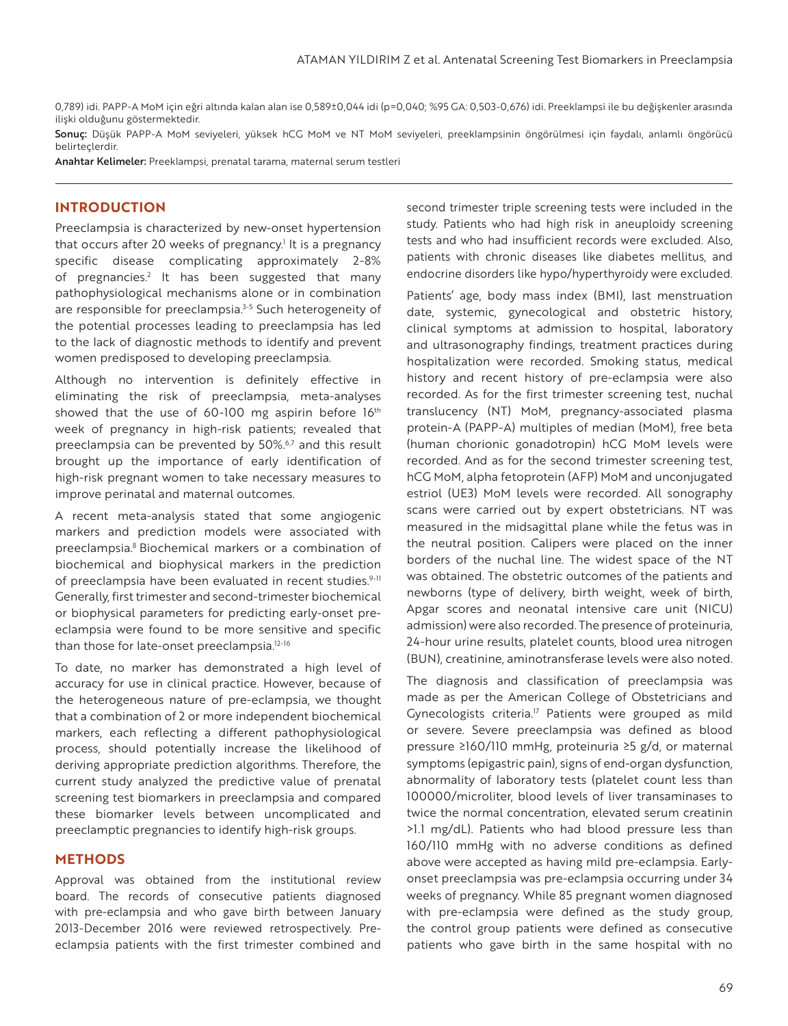0,789) idi. PAPP-A MoM için eğri altında kalan alan ise 0,589±0,044 idi (p=0,040; %95 GA: 0,503-0,676) idi. Preeklampsi ile bu değişkenler arasında ilişki olduğunu göstermektedir.

Sonuc: Düşük PAPP-A MoM seviyeleri, yüksek hCG MoM ve NT MoM seviyeleri, preeklampsinin öngörülmesi için faydalı, anlamlı öngörücü belirteçlerdir.

Anahtar Kelimeler: Preeklampsi, prenatal tarama, maternal serum testleri

#### **INTRODUCTION**

Preeclampsia is characterized by new-onset hypertension that occurs after 20 weeks of pregnancy.<sup>1</sup> It is a pregnancy specific disease complicating approximately 2-8% of pregnancies.<sup>2</sup> It has been suggested that many pathophysiological mechanisms alone or in combination are responsible for preeclampsia.<sup>3-5</sup> Such heterogeneity of the potential processes leading to preeclampsia has led to the lack of diagnostic methods to identify and prevent women predisposed to developing preeclampsia.

Although no intervention is definitely effective in eliminating the risk of preeclampsia, meta-analyses showed that the use of 60-100 mg aspirin before 16th week of pregnancy in high-risk patients; revealed that preeclampsia can be prevented by 50%.<sup>6,7</sup> and this result brought up the importance of early identification of high-risk pregnant women to take necessary measures to improve perinatal and maternal outcomes.

A recent meta-analysis stated that some angiogenic markers and prediction models were associated with preeclampsia.<sup>8</sup> Biochemical markers or a combination of biochemical and biophysical markers in the prediction of preeclampsia have been evaluated in recent studies.<sup>9-11</sup> Generally, first trimester and second-trimester biochemical or biophysical parameters for predicting early-onset preeclampsia were found to be more sensitive and specific than those for late-onset preeclampsia.<sup>12-16</sup>

To date, no marker has demonstrated a high level of accuracy for use in clinical practice. However, because of the heterogeneous nature of pre-eclampsia, we thought that a combination of 2 or more independent biochemical markers, each reflecting a different pathophysiological process, should potentially increase the likelihood of deriving appropriate prediction algorithms. Therefore, the current study analyzed the predictive value of prenatal screening test biomarkers in preeclampsia and compared these biomarker levels between uncomplicated and preeclamptic pregnancies to identify high-risk groups.

#### **METHODS**

Approval was obtained from the institutional review board. The records of consecutive patients diagnosed with pre-eclampsia and who gave birth between January 2013-December 2016 were reviewed retrospectively. Preeclampsia patients with the first trimester combined and second trimester triple screening tests were included in the study. Patients who had high risk in aneuploidy screening tests and who had insufficient records were excluded. Also, patients with chronic diseases like diabetes mellitus, and endocrine disorders like hypo/hyperthyroidy were excluded.

Patients' age, body mass index (BMI), last menstruation date, systemic, gynecological and obstetric history, clinical symptoms at admission to hospital, laboratory and ultrasonography findings, treatment practices during hospitalization were recorded. Smoking status, medical history and recent history of pre-eclampsia were also recorded. As for the first trimester screening test, nuchal translucency (NT) MoM, pregnancy-associated plasma protein-A (PAPP-A) multiples of median (MoM), free beta (human chorionic gonadotropin) hCG MoM levels were recorded. And as for the second trimester screening test, hCG MoM, alpha fetoprotein (AFP) MoM and unconjugated estriol (UE3) MoM levels were recorded. All sonography scans were carried out by expert obstetricians. NT was measured in the midsagittal plane while the fetus was in the neutral position. Calipers were placed on the inner borders of the nuchal line. The widest space of the NT was obtained. The obstetric outcomes of the patients and newborns (type of delivery, birth weight, week of birth, Apgar scores and neonatal intensive care unit (NICU) admission) were also recorded. The presence of proteinuria, 24-hour urine results, platelet counts, blood urea nitrogen (BUN), creatinine, aminotransferase levels were also noted.

The diagnosis and classification of preeclampsia was made as per the American College of Obstetricians and Gynecologists criteria.<sup>17</sup> Patients were grouped as mild or severe. Severe preeclampsia was defined as blood pressure ≥160/110 mmHg, proteinuria ≥5 g/d, or maternal symptoms (epigastric pain), signs of end-organ dysfunction, abnormality of laboratory tests (platelet count less than 100000/microliter, blood levels of liver transaminases to twice the normal concentration, elevated serum creatinin >1.1 mg/dL). Patients who had blood pressure less than 160/110 mmHg with no adverse conditions as defined above were accepted as having mild pre-eclampsia. Earlyonset preeclampsia was pre-eclampsia occurring under 34 weeks of pregnancy. While 85 pregnant women diagnosed with pre-eclampsia were defined as the study group, the control group patients were defined as consecutive patients who gave birth in the same hospital with no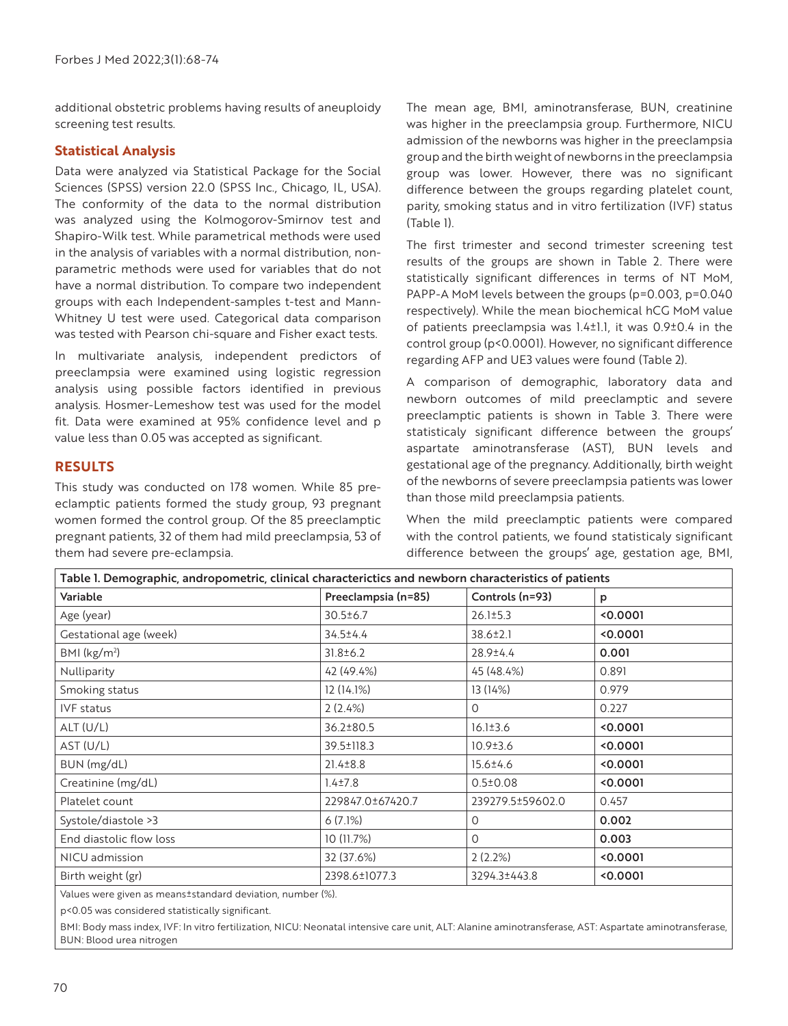additional obstetric problems having results of aneuploidy screening test results.

### **Statistical Analysis**

Data were analyzed via Statistical Package for the Social Sciences (SPSS) version 22.0 (SPSS Inc., Chicago, IL, USA). The conformity of the data to the normal distribution was analyzed using the Kolmogorov-Smirnov test and Shapiro-Wilk test. While parametrical methods were used in the analysis of variables with a normal distribution, nonparametric methods were used for variables that do not have a normal distribution. To compare two independent groups with each Independent-samples t-test and Mann-Whitney U test were used. Categorical data comparison was tested with Pearson chi-square and Fisher exact tests.

In multivariate analysis, independent predictors of preeclampsia were examined using logistic regression analysis using possible factors identified in previous analysis. Hosmer-Lemeshow test was used for the model fit. Data were examined at 95% confidence level and p value less than 0.05 was accepted as significant.

#### **RESULTS**

This study was conducted on 178 women. While 85 preeclamptic patients formed the study group, 93 pregnant women formed the control group. Of the 85 preeclamptic pregnant patients, 32 of them had mild preeclampsia, 53 of them had severe pre-eclampsia.

The mean age, BMI, aminotransferase, BUN, creatinine was higher in the preeclampsia group. Furthermore, NICU admission of the newborns was higher in the preeclampsia group and the birth weight of newborns in the preeclampsia group was lower. However, there was no significant difference between the groups regarding platelet count, parity, smoking status and in vitro fertilization (IVF) status (Table 1).

The first trimester and second trimester screening test results of the groups are shown in Table 2. There were statistically significant differences in terms of NT MoM, PAPP-A MoM levels between the groups (p=0.003, p=0.040 respectively). While the mean biochemical hCG MoM value of patients preeclampsia was 1.4±1.1, it was 0.9±0.4 in the control group (p<0.0001). However, no significant difference regarding AFP and UE3 values were found (Table 2).

A comparison of demographic, laboratory data and newborn outcomes of mild preeclamptic and severe preeclamptic patients is shown in Table 3. There were statisticaly significant difference between the groups' aspartate aminotransferase (AST), BUN levels and gestational age of the pregnancy. Additionally, birth weight of the newborns of severe preeclampsia patients was lower than those mild preeclampsia patients.

When the mild preeclamptic patients were compared with the control patients, we found statisticaly significant difference between the groups' age, gestation age, BMI,

| Table I. Demographic, andropometric, clinical characterictics and newborn characteristics of patients |                                        |                  |        |
|-------------------------------------------------------------------------------------------------------|----------------------------------------|------------------|--------|
| Variable                                                                                              | Preeclampsia (n=85)<br>Controls (n=93) |                  | p      |
| Age (year)                                                                                            | $30.5 \pm 6.7$<br>$26.1 \pm 5.3$       |                  | 0.0001 |
| Gestational age (week)                                                                                | $34.5 \pm 4.4$<br>38.6±2.1             |                  | 0.0001 |
| BMI (kg/m <sup>2</sup> )                                                                              | $31.8 \pm 6.2$<br>28.9±4.4             |                  | 0.001  |
| Nulliparity                                                                                           | 42 (49.4%)                             | 45 (48.4%)       | 0.891  |
| Smoking status                                                                                        | 12 (14.1%)                             | 13 (14%)         | 0.979  |
| IVF status                                                                                            | 2(2.4%)                                | $\Omega$         | 0.227  |
| ALT(U/L)                                                                                              | 36.2±80.5                              | $16.1 \pm 3.6$   | 0.0001 |
| AST (U/L)                                                                                             | 39.5±118.3                             | 10.9±3.6         | 0.0001 |
| BUN (mg/dL)                                                                                           | $21.4 \pm 8.8$                         | 15.6±4.6         | 0.0001 |
| Creatinine (mg/dL)                                                                                    | $1.4 \pm 7.8$                          | $0.5 \pm 0.08$   | 0.0001 |
| Platelet count                                                                                        | 229847.0±67420.7                       | 239279.5±59602.0 | 0.457  |
| Systole/diastole >3                                                                                   | 6(7.1%)                                | $\Omega$         | 0.002  |
| End diastolic flow loss                                                                               | 10(11.7%)                              | $\Omega$         | 0.003  |
| NICU admission                                                                                        | 32 (37.6%)                             | 2(2.2%)          | 0.0001 |
| Birth weight (gr)                                                                                     | 2398.6±1077.3                          | 3294.3±443.8     | 0.0001 |
| $\mathbf{z}$ . $\mathbf{z}$                                                                           |                                        |                  |        |

Values were given as means±standard deviation, number (%).

p<0.05 was considered statistically significant.

BMI: Body mass index, IVF: In vitro fertilization, NICU: Neonatal intensive care unit, ALT: Alanine aminotransferase, AST: Aspartate aminotransferase, BUN: Blood urea nitrogen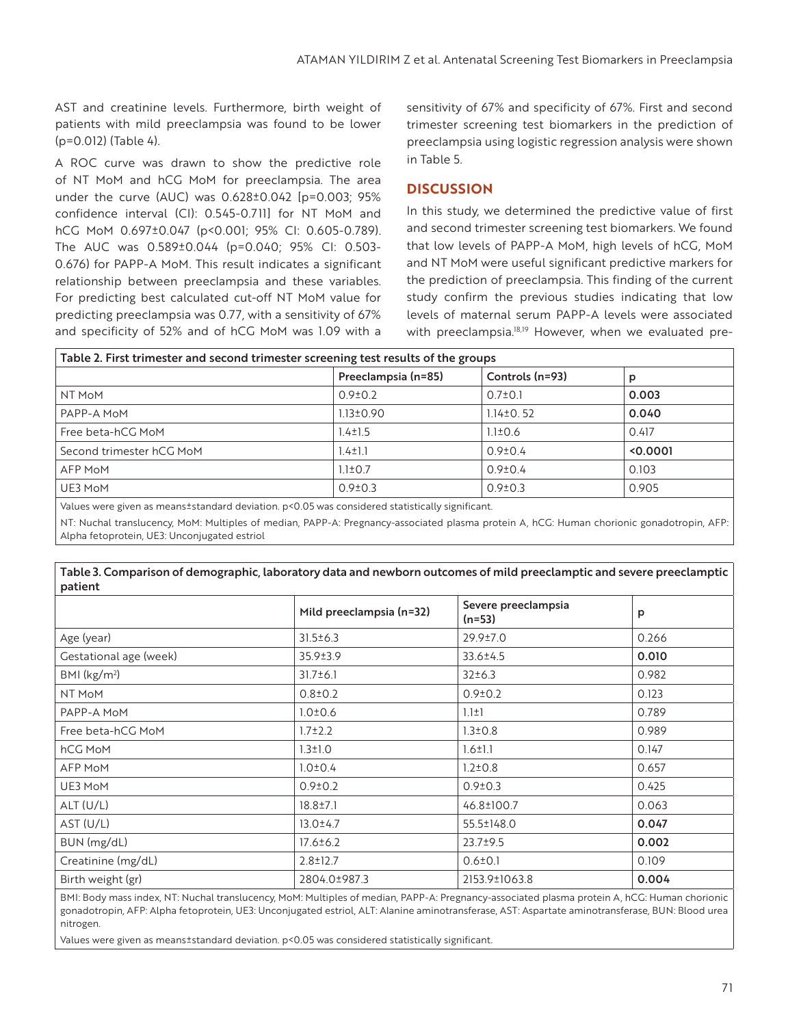AST and creatinine levels. Furthermore, birth weight of patients with mild preeclampsia was found to be lower (p=0.012) (Table 4).

A ROC curve was drawn to show the predictive role of NT MoM and hCG MoM for preeclampsia. The area under the curve (AUC) was 0.628±0.042 [p=0.003; 95% confidence interval (CI): 0.545-0.711] for NT MoM and hCG MoM 0.697±0.047 (p<0.001; 95% CI: 0.605-0.789). The AUC was 0.589±0.044 (p=0.040; 95% CI: 0.503- 0.676) for PAPP-A MoM. This result indicates a significant relationship between preeclampsia and these variables. For predicting best calculated cut-off NT MoM value for predicting preeclampsia was 0.77, with a sensitivity of 67% and specificity of 52% and of hCG MoM was 1.09 with a sensitivity of 67% and specificity of 67%. First and second trimester screening test biomarkers in the prediction of preeclampsia using logistic regression analysis were shown in Table 5.

### **DISCUSSION**

In this study, we determined the predictive value of first and second trimester screening test biomarkers. We found that low levels of PAPP-A MoM, high levels of hCG, MoM and NT MoM were useful significant predictive markers for the prediction of preeclampsia. This finding of the current study confirm the previous studies indicating that low levels of maternal serum PAPP-A levels were associated with preeclampsia.<sup>18,19</sup> However, when we evaluated pre-

| Table 2. First trimester and second trimester screening test results of the groups               |                                        |                 |        |  |
|--------------------------------------------------------------------------------------------------|----------------------------------------|-----------------|--------|--|
|                                                                                                  | Preeclampsia (n=85)<br>Controls (n=93) |                 | p      |  |
| NT MoM                                                                                           | $0.9 \pm 0.2$                          | $0.7 \pm 0.1$   | 0.003  |  |
| PAPP-A MoM                                                                                       | $1.13 \pm 0.90$                        | $1.14 \pm 0.52$ | 0.040  |  |
| Free beta-hCG MoM                                                                                | $1.4 \pm 1.5$                          | $1.1 \pm 0.6$   | 0.417  |  |
| Second trimester hCG MoM                                                                         | $1.4 \pm 1.1$                          | $0.9 \pm 0.4$   | 0.0001 |  |
| AFP MoM                                                                                          | $1.1 \pm 0.7$                          | $0.9{\pm}0.4$   | 0.103  |  |
| UE3 MoM                                                                                          | $0.9 \pm 0.3$                          | $0.9 \pm 0.3$   | 0.905  |  |
| Values were given as meanst standard deviation. p<0.05 was considered statistically significant. |                                        |                 |        |  |

NT: Nuchal translucency, MoM: Multiples of median, PAPP-A: Pregnancy-associated plasma protein A, hCG: Human chorionic gonadotropin, AFP: Alpha fetoprotein, UE3: Unconjugated estriol

| Table 5. Companson or demographic, taboratory data and newborn outcomes or mitd preectamplic and severe preectamplic<br>patient |                          |                               |       |  |
|---------------------------------------------------------------------------------------------------------------------------------|--------------------------|-------------------------------|-------|--|
|                                                                                                                                 | Mild preeclampsia (n=32) | Severe preeclampsia<br>(n=53) | p     |  |
| Age (year)                                                                                                                      | $31.5 \pm 6.3$           | 29.9±7.0                      | 0.266 |  |
| Gestational age (week)                                                                                                          | 35.9±3.9                 | 33.6±4.5                      | 0.010 |  |
| BMI (kg/m <sup>2</sup> )                                                                                                        | $31.7 \pm 6.1$           | 32±6.3                        | 0.982 |  |
| NT MoM                                                                                                                          | $0.8 \pm 0.2$            | $0.9 \pm 0.2$                 | 0.123 |  |
| PAPP-A MoM                                                                                                                      | $1.0 \pm 0.6$            | $1.1 \pm 1$                   | 0.789 |  |
| Free beta-hCG MoM                                                                                                               | $1.7 \pm 2.2$            | $1.3 \pm 0.8$                 | 0.989 |  |
| hCG MoM                                                                                                                         | $1.3 \pm 1.0$            | $1.6 \pm 1.1$                 | 0.147 |  |
| AFP MoM                                                                                                                         | $1.0 \pm 0.4$            | $1.2 \pm 0.8$                 | 0.657 |  |
| UE3 MoM                                                                                                                         | $0.9 \pm 0.2$            | $0.9 \pm 0.3$                 | 0.425 |  |
| ALT (U/L)                                                                                                                       | $18.8 \pm 7.1$           | 46.8±100.7                    | 0.063 |  |
| AST (U/L)                                                                                                                       | $13.0 \pm 4.7$           | 55.5±148.0                    | 0.047 |  |
| BUN (mg/dL)                                                                                                                     | $17.6 \pm 6.2$           | $23.7 \pm 9.5$                | 0.002 |  |
| Creatinine (mg/dL)                                                                                                              | $2.8 \pm 12.7$           | $0.6 \pm 0.1$                 | 0.109 |  |
| Birth weight (gr)                                                                                                               | 2804.0±987.3             | 2153.9±1063.8                 | 0.004 |  |

Table 3. Comparison of demographic, laboratory data and newborn outcomes of mild preeclamptic and severe preeclamptic

BMI: Body mass index, NT: Nuchal translucency, MoM: Multiples of median, PAPP-A: Pregnancy-associated plasma protein A, hCG: Human chorionic gonadotropin, AFP: Alpha fetoprotein, UE3: Unconjugated estriol, ALT: Alanine aminotransferase, AST: Aspartate aminotransferase, BUN: Blood urea nitrogen.

Values were given as means±standard deviation. p<0.05 was considered statistically significant.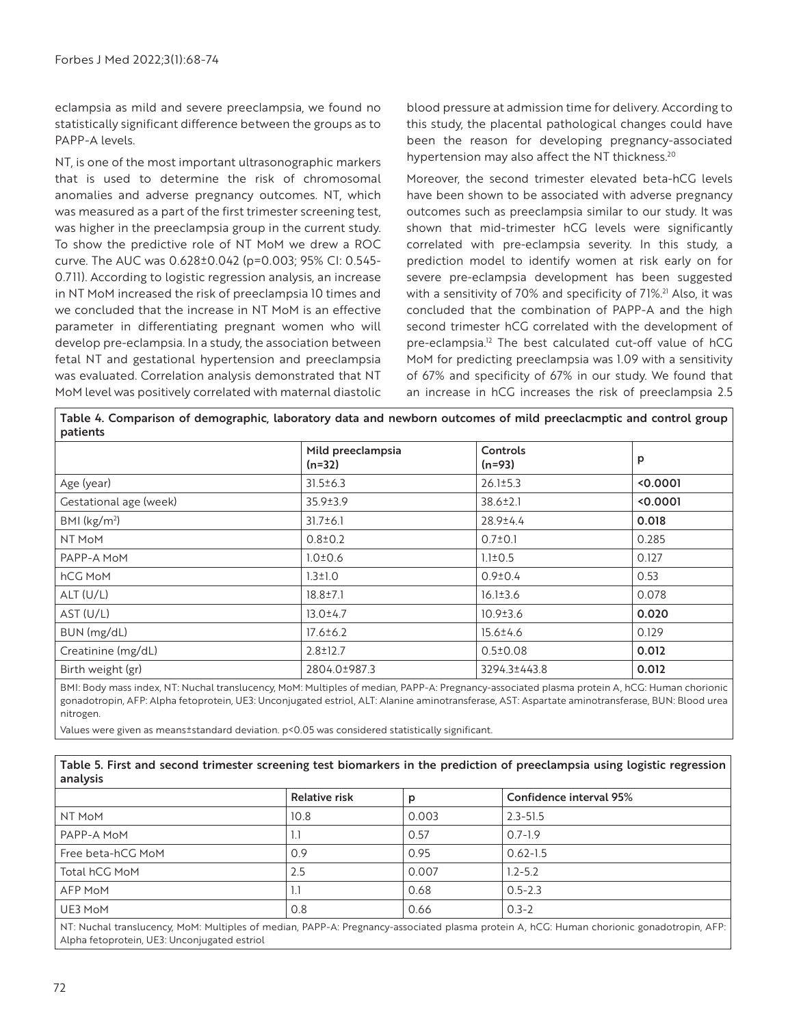eclampsia as mild and severe preeclampsia, we found no statistically significant difference between the groups as to PAPP-A levels.

NT, is one of the most important ultrasonographic markers that is used to determine the risk of chromosomal anomalies and adverse pregnancy outcomes. NT, which was measured as a part of the first trimester screening test, was higher in the preeclampsia group in the current study. To show the predictive role of NT MoM we drew a ROC curve. The AUC was 0.628±0.042 (p=0.003; 95% CI: 0.545- 0.711). According to logistic regression analysis, an increase in NT MoM increased the risk of preeclampsia 10 times and we concluded that the increase in NT MoM is an effective parameter in differentiating pregnant women who will develop pre-eclampsia. In a study, the association between fetal NT and gestational hypertension and preeclampsia was evaluated. Correlation analysis demonstrated that NT MoM level was positively correlated with maternal diastolic blood pressure at admission time for delivery. According to this study, the placental pathological changes could have been the reason for developing pregnancy-associated hypertension may also affect the NT thickness.<sup>20</sup>

Moreover, the second trimester elevated beta-hCG levels have been shown to be associated with adverse pregnancy outcomes such as preeclampsia similar to our study. It was shown that mid-trimester hCG levels were significantly correlated with pre-eclampsia severity. In this study, a prediction model to identify women at risk early on for severe pre-eclampsia development has been suggested with a sensitivity of 70% and specificity of 71%.<sup>21</sup> Also, it was concluded that the combination of PAPP-A and the high second trimester hCG correlated with the development of pre-eclampsia.<sup>12</sup> The best calculated cut-off value of hCG MoM for predicting preeclampsia was 1.09 with a sensitivity of 67% and specificity of 67% in our study. We found that an increase in hCG increases the risk of preeclampsia 2.5

| Table 4. Comparison of demographic, laboratory data and newborn outcomes of mild preeclacmptic and control group |  |  |  |
|------------------------------------------------------------------------------------------------------------------|--|--|--|
| patients                                                                                                         |  |  |  |

| patients                |                               |                      |        |  |
|-------------------------|-------------------------------|----------------------|--------|--|
|                         | Mild preeclampsia<br>$(n=32)$ | Controls<br>$(n=93)$ | p      |  |
| Age (year)              | $31.5 \pm 6.3$                | $26.1 \pm 5.3$       | 0.0001 |  |
| Gestational age (week)  | 35.9±3.9                      | 38.6±2.1             | 0.0001 |  |
| BMI ( $\text{kg/m}^2$ ) | $31.7 \pm 6.1$                | 28.9±4.4             | 0.018  |  |
| NT MoM                  | $0.8 \pm 0.2$                 | $0.7 \pm 0.1$        | 0.285  |  |
| PAPP-A MoM              | $1.0 \pm 0.6$                 | $1.1 \pm 0.5$        | 0.127  |  |
| hCG MoM                 | $1.3 \pm 1.0$                 | $0.9 \pm 0.4$        | 0.53   |  |
| ALT(U/L)                | $18.8 \pm 7.1$                | $16.1 \pm 3.6$       | 0.078  |  |
| AST (U/L)               | $13.0 \pm 4.7$                | $10.9 \pm 3.6$       | 0.020  |  |
| BUN (mg/dL)             | $17.6 \pm 6.2$                | 15.6±4.6             | 0.129  |  |
| Creatinine (mg/dL)      | $2.8 \pm 12.7$                | $0.5 \pm 0.08$       | 0.012  |  |
| Birth weight (gr)       | 2804.0±987.3                  | 3294.3±443.8         | 0.012  |  |

BMI: Body mass index, NT: Nuchal translucency, MoM: Multiples of median, PAPP-A: Pregnancy-associated plasma protein A, hCG: Human chorionic gonadotropin, AFP: Alpha fetoprotein, UE3: Unconjugated estriol, ALT: Alanine aminotransferase, AST: Aspartate aminotransferase, BUN: Blood urea nitrogen.

Values were given as means±standard deviation. p<0.05 was considered statistically significant.

| Table 5. First and second trimester screening test biomarkers in the prediction of preeclampsia using logistic regression |  |
|---------------------------------------------------------------------------------------------------------------------------|--|
| analysis                                                                                                                  |  |

|                   | Relative risk | D     | Confidence interval 95% |  |
|-------------------|---------------|-------|-------------------------|--|
| NT MoM            | 10.8          | 0.003 | $2.3 - 51.5$            |  |
| PAPP-A MoM        | <b>L.I</b>    | 0.57  | $0.7 - 1.9$             |  |
| Free beta-hCG MoM | 0.9           | 0.95  | $0.62 - 1.5$            |  |
| Total hCG MoM     | 2.5           | 0.007 | $1.2 - 5.2$             |  |
| <b>AFP MoM</b>    | $\mathbf{L}$  | 0.68  | $0.5 - 2.3$             |  |
| UE3 MoM           | 0.8           | 0.66  | $0.3 - 2$               |  |
|                   |               |       |                         |  |

NT: Nuchal translucency, MoM: Multiples of median, PAPP-A: Pregnancy-associated plasma protein A, hCG: Human chorionic gonadotropin, AFP: Alpha fetoprotein, UE3: Unconjugated estriol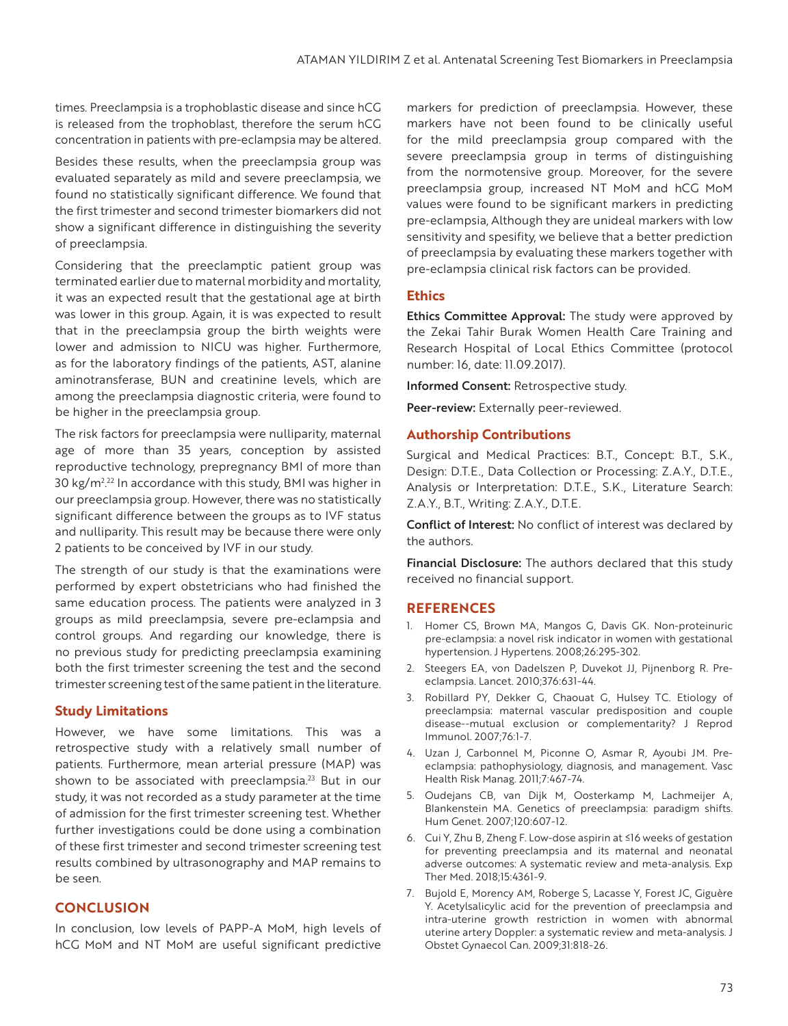times. Preeclampsia is a trophoblastic disease and since hCG is released from the trophoblast, therefore the serum hCG concentration in patients with pre-eclampsia may be altered.

Besides these results, when the preeclampsia group was evaluated separately as mild and severe preeclampsia, we found no statistically significant difference. We found that the first trimester and second trimester biomarkers did not show a significant difference in distinguishing the severity of preeclampsia.

Considering that the preeclamptic patient group was terminated earlier due to maternal morbidity and mortality, it was an expected result that the gestational age at birth was lower in this group. Again, it is was expected to result that in the preeclampsia group the birth weights were lower and admission to NICU was higher. Furthermore, as for the laboratory findings of the patients, AST, alanine aminotransferase, BUN and creatinine levels, which are among the preeclampsia diagnostic criteria, were found to be higher in the preeclampsia group.

The risk factors for preeclampsia were nulliparity, maternal age of more than 35 years, conception by assisted reproductive technology, prepregnancy BMI of more than 30 kg/m2 <sup>22</sup> In accordance with this study, BMI was higher in . our preeclampsia group. However, there was no statistically significant difference between the groups as to IVF status and nulliparity. This result may be because there were only 2 patients to be conceived by IVF in our study.

The strength of our study is that the examinations were performed by expert obstetricians who had finished the same education process. The patients were analyzed in 3 groups as mild preeclampsia, severe pre-eclampsia and control groups. And regarding our knowledge, there is no previous study for predicting preeclampsia examining both the first trimester screening the test and the second trimester screening test of the same patient in the literature.

#### **Study Limitations**

However, we have some limitations. This was a retrospective study with a relatively small number of patients. Furthermore, mean arterial pressure (MAP) was shown to be associated with preeclampsia.<sup>23</sup> But in our study, it was not recorded as a study parameter at the time of admission for the first trimester screening test. Whether further investigations could be done using a combination of these first trimester and second trimester screening test results combined by ultrasonography and MAP remains to be seen.

#### **CONCLUSION**

In conclusion, low levels of PAPP-A MoM, high levels of hCG MoM and NT MoM are useful significant predictive markers for prediction of preeclampsia. However, these markers have not been found to be clinically useful for the mild preeclampsia group compared with the severe preeclampsia group in terms of distinguishing from the normotensive group. Moreover, for the severe preeclampsia group, increased NT MoM and hCG MoM values were found to be significant markers in predicting pre-eclampsia, Although they are unideal markers with low sensitivity and spesifity, we believe that a better prediction of preeclampsia by evaluating these markers together with pre-eclampsia clinical risk factors can be provided.

#### **Ethics**

**Ethics Committee Approval:** The study were approved by the Zekai Tahir Burak Women Health Care Training and Research Hospital of Local Ethics Committee (protocol number: 16, date: 11.09.2017).

Informed Consent: Retrospective study.

Peer-review: Externally peer-reviewed.

#### **Authorship Contributions**

Surgical and Medical Practices: B.T., Concept: B.T., S.K., Design: D.T.E., Data Collection or Processing: Z.A.Y., D.T.E., Analysis or Interpretation: D.T.E., S.K., Literature Search: Z.A.Y., B.T., Writing: Z.A.Y., D.T.E.

Conflict of Interest: No conflict of interest was declared by the authors.

Financial Disclosure: The authors declared that this study received no financial support.

#### **REFERENCES**

- 1. Homer CS, Brown MA, Mangos G, Davis GK. Non-proteinuric pre-eclampsia: a novel risk indicator in women with gestational hypertension. J Hypertens. 2008;26:295-302.
- 2. Steegers EA, von Dadelszen P, Duvekot JJ, Pijnenborg R. Preeclampsia. Lancet. 2010;376:631-44.
- 3. Robillard PY, Dekker G, Chaouat G, Hulsey TC. Etiology of preeclampsia: maternal vascular predisposition and couple disease--mutual exclusion or complementarity? J Reprod Immunol. 2007;76:1-7.
- 4. Uzan J, Carbonnel M, Piconne O, Asmar R, Ayoubi JM. Preeclampsia: pathophysiology, diagnosis, and management. Vasc Health Risk Manag. 2011;7:467-74.
- 5. Oudejans CB, van Dijk M, Oosterkamp M, Lachmeijer A, Blankenstein MA. Genetics of preeclampsia: paradigm shifts. Hum Genet. 2007;120:607-12.
- 6. Cui Y, Zhu B, Zheng F. Low-dose aspirin at ≤16 weeks of gestation for preventing preeclampsia and its maternal and neonatal adverse outcomes: A systematic review and meta-analysis. Exp Ther Med. 2018;15:4361-9.
- 7. Bujold E, Morency AM, Roberge S, Lacasse Y, Forest JC, Giguère Y. Acetylsalicylic acid for the prevention of preeclampsia and intra-uterine growth restriction in women with abnormal uterine artery Doppler: a systematic review and meta-analysis. J Obstet Gynaecol Can. 2009;31:818-26.